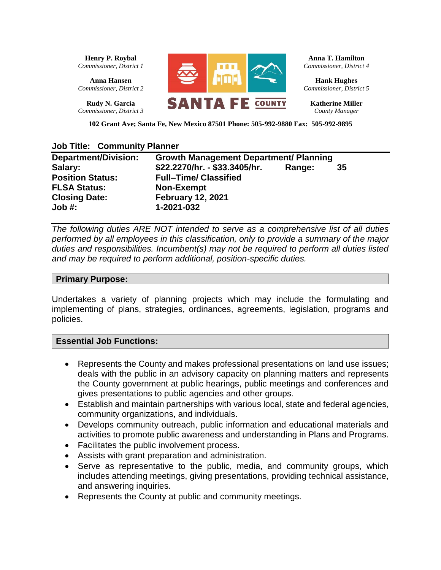**Henry P. Roybal** *Commissioner, District 1*

**Anna Hansen** *Commissioner, District 2*

**Rudy N. Garcia**  *Commissioner, District 3*



**Anna T. Hamilton** *Commissioner, District 4*

**Hank Hughes** *Commissioner, District 5*

**Katherine Miller**  *County Manager*

**102 Grant Ave; Santa Fe, New Mexico 87501 Phone: 505-992-9880 Fax: 505-992-9895**

#### **Job Title: Community Planner**

| <b>Department/Division:</b> | <b>Growth Management Department/ Planning</b> |        |    |
|-----------------------------|-----------------------------------------------|--------|----|
| Salary:                     | \$22.2270/hr. - \$33.3405/hr.                 | Range: | 35 |
| <b>Position Status:</b>     | <b>Full-Time/ Classified</b>                  |        |    |
| <b>FLSA Status:</b>         | <b>Non-Exempt</b>                             |        |    |
| <b>Closing Date:</b>        | <b>February 12, 2021</b>                      |        |    |
| Job #:                      | 1-2021-032                                    |        |    |

*The following duties ARE NOT intended to serve as a comprehensive list of all duties performed by all employees in this classification, only to provide a summary of the major duties and responsibilities. Incumbent(s) may not be required to perform all duties listed and may be required to perform additional, position-specific duties.* 

#### **Primary Purpose:**

Undertakes a variety of planning projects which may include the formulating and implementing of plans, strategies, ordinances, agreements, legislation, programs and policies.

#### **Essential Job Functions:**

- Represents the County and makes professional presentations on land use issues; deals with the public in an advisory capacity on planning matters and represents the County government at public hearings, public meetings and conferences and gives presentations to public agencies and other groups.
- Establish and maintain partnerships with various local, state and federal agencies, community organizations, and individuals.
- Develops community outreach, public information and educational materials and activities to promote public awareness and understanding in Plans and Programs.
- Facilitates the public involvement process.
- Assists with grant preparation and administration.
- Serve as representative to the public, media, and community groups, which includes attending meetings, giving presentations, providing technical assistance, and answering inquiries.
- Represents the County at public and community meetings.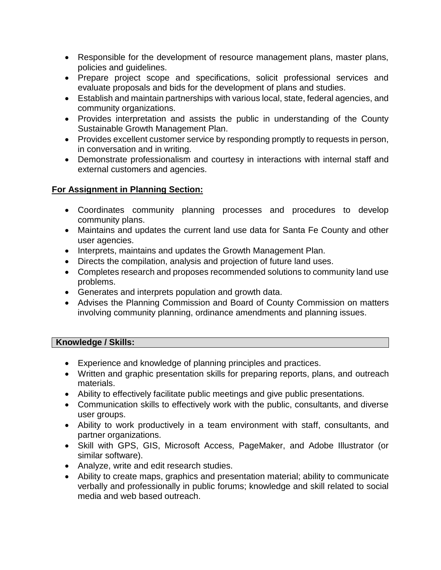- Responsible for the development of resource management plans, master plans, policies and guidelines.
- Prepare project scope and specifications, solicit professional services and evaluate proposals and bids for the development of plans and studies.
- Establish and maintain partnerships with various local, state, federal agencies, and community organizations.
- Provides interpretation and assists the public in understanding of the County Sustainable Growth Management Plan.
- Provides excellent customer service by responding promptly to requests in person, in conversation and in writing.
- Demonstrate professionalism and courtesy in interactions with internal staff and external customers and agencies.

# **For Assignment in Planning Section:**

- Coordinates community planning processes and procedures to develop community plans.
- Maintains and updates the current land use data for Santa Fe County and other user agencies.
- Interprets, maintains and updates the Growth Management Plan.
- Directs the compilation, analysis and projection of future land uses.
- Completes research and proposes recommended solutions to community land use problems.
- Generates and interprets population and growth data.
- Advises the Planning Commission and Board of County Commission on matters involving community planning, ordinance amendments and planning issues.

## **Knowledge / Skills:**

- Experience and knowledge of planning principles and practices.
- Written and graphic presentation skills for preparing reports, plans, and outreach materials.
- Ability to effectively facilitate public meetings and give public presentations.
- Communication skills to effectively work with the public, consultants, and diverse user groups.
- Ability to work productively in a team environment with staff, consultants, and partner organizations.
- Skill with GPS, GIS, Microsoft Access, PageMaker, and Adobe Illustrator (or similar software).
- Analyze, write and edit research studies.
- Ability to create maps, graphics and presentation material; ability to communicate verbally and professionally in public forums; knowledge and skill related to social media and web based outreach.